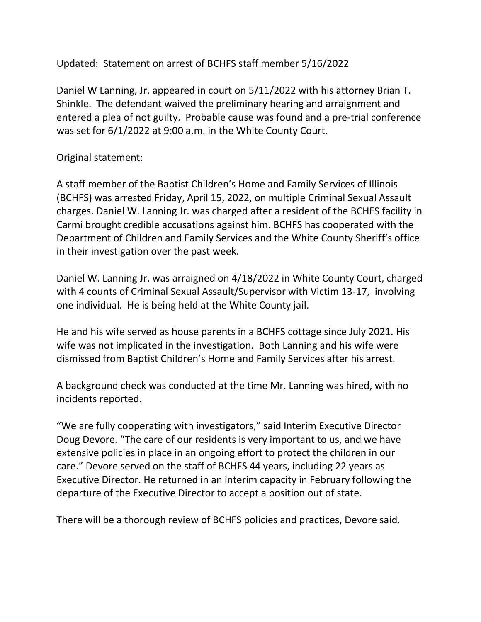Updated: Statement on arrest of BCHFS staff member 5/16/2022

Daniel W Lanning, Jr. appeared in court on 5/11/2022 with his attorney Brian T. Shinkle. The defendant waived the preliminary hearing and arraignment and entered a plea of not guilty. Probable cause was found and a pre-trial conference was set for 6/1/2022 at 9:00 a.m. in the White County Court.

Original statement:

A staff member of the Baptist Children's Home and Family Services of Illinois (BCHFS) was arrested Friday, April 15, 2022, on multiple Criminal Sexual Assault charges. Daniel W. Lanning Jr. was charged after a resident of the BCHFS facility in Carmi brought credible accusations against him. BCHFS has cooperated with the Department of Children and Family Services and the White County Sheriff's office in their investigation over the past week.

Daniel W. Lanning Jr. was arraigned on 4/18/2022 in White County Court, charged with 4 counts of Criminal Sexual Assault/Supervisor with Victim 13-17, involving one individual. He is being held at the White County jail.

He and his wife served as house parents in a BCHFS cottage since July 2021. His wife was not implicated in the investigation. Both Lanning and his wife were dismissed from Baptist Children's Home and Family Services after his arrest.

A background check was conducted at the time Mr. Lanning was hired, with no incidents reported.

"We are fully cooperating with investigators," said Interim Executive Director Doug Devore. "The care of our residents is very important to us, and we have extensive policies in place in an ongoing effort to protect the children in our care." Devore served on the staff of BCHFS 44 years, including 22 years as Executive Director. He returned in an interim capacity in February following the departure of the Executive Director to accept a position out of state.

There will be a thorough review of BCHFS policies and practices, Devore said.